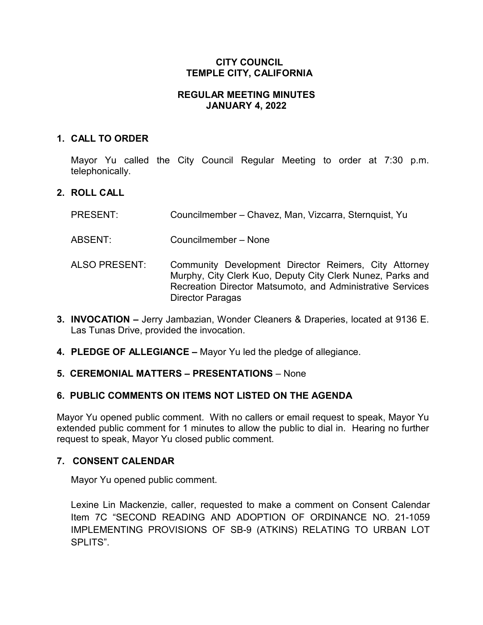### **CITY COUNCIL TEMPLE CITY, CALIFORNIA**

### **REGULAR MEETING MINUTES JANUARY 4, 2022**

### **1. CALL TO ORDER**

Mayor Yu called the City Council Regular Meeting to order at 7:30 p.m. telephonically.

### **2. ROLL CALL**

- PRESENT: Councilmember Chavez, Man, Vizcarra, Sternquist, Yu
- ABSENT: Councilmember None
- ALSO PRESENT: Community Development Director Reimers, City Attorney Murphy, City Clerk Kuo, Deputy City Clerk Nunez, Parks and Recreation Director Matsumoto, and Administrative Services Director Paragas
- **3. INVOCATION –** Jerry Jambazian, Wonder Cleaners & Draperies, located at 9136 E. Las Tunas Drive, provided the invocation.
- **4. PLEDGE OF ALLEGIANCE –** Mayor Yu led the pledge of allegiance.

#### **5. CEREMONIAL MATTERS – PRESENTATIONS** – None

# **6. PUBLIC COMMENTS ON ITEMS NOT LISTED ON THE AGENDA**

Mayor Yu opened public comment. With no callers or email request to speak, Mayor Yu extended public comment for 1 minutes to allow the public to dial in. Hearing no further request to speak, Mayor Yu closed public comment.

#### **7. CONSENT CALENDAR**

Mayor Yu opened public comment.

Lexine Lin Mackenzie, caller, requested to make a comment on Consent Calendar Item 7C "SECOND READING AND ADOPTION OF ORDINANCE NO. 21-1059 IMPLEMENTING PROVISIONS OF SB-9 (ATKINS) RELATING TO URBAN LOT SPLITS".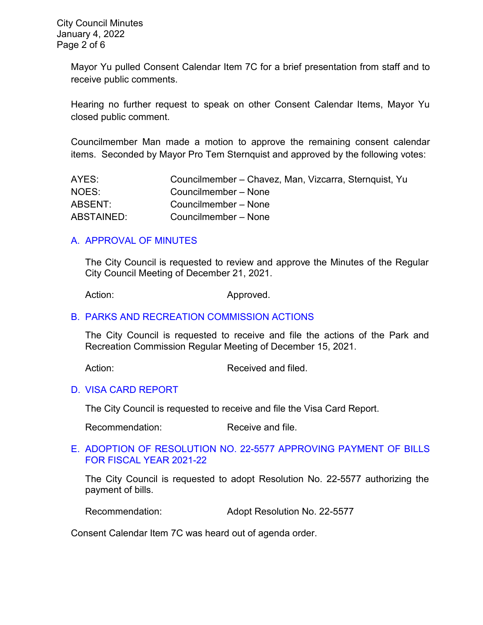Mayor Yu pulled Consent Calendar Item 7C for a brief presentation from staff and to receive public comments.

Hearing no further request to speak on other Consent Calendar Items, Mayor Yu closed public comment.

Councilmember Man made a motion to approve the remaining consent calendar items. Seconded by Mayor Pro Tem Sternquist and approved by the following votes:

| AYES:             | Councilmember – Chavez, Man, Vizcarra, Sternquist, Yu |
|-------------------|-------------------------------------------------------|
| NOES:             | Councilmember – None                                  |
| ABSENT:           | Councilmember – None                                  |
| <b>ABSTAINED:</b> | Councilmember – None                                  |

# [A. APPROVAL OF MINUTES](https://www.ci.temple-city.ca.us/DocumentCenter/View/17223/7A_CCM---2021-12-21)

The City Council is requested to review and approve the Minutes of the Regular City Council Meeting of December 21, 2021.

Action: Approved.

#### B. [PARKS AND RECREATION](https://www.ci.temple-city.ca.us/DocumentCenter/View/17224/7B_PRC-Regular-Meeting-Actions_Staff-Report-2022-1-4) COMMISSION ACTIONS

The City Council is requested to receive and file the actions of the Park and Recreation Commission Regular Meeting of December 15, 2021.

Action: Received and filed.

#### D. [VISA CARD REPORT](https://www.ci.temple-city.ca.us/DocumentCenter/View/17226/7D_10422-Visa-Card-Staff-Report)

The City Council is requested to receive and file the Visa Card Report.

Recommendation: Receive and file.

#### E. [ADOPTION OF RESOLUTION NO. 22-5577](https://www.ci.temple-city.ca.us/DocumentCenter/View/17227/7E_Warrant-Register_Reso-No-22-5577-10422---Warrants--Demands-FY-2021-2022---Copy) APPROVING PAYMENT OF BILLS [FOR FISCAL YEAR 2021-22](https://www.ci.temple-city.ca.us/DocumentCenter/View/17227/7E_Warrant-Register_Reso-No-22-5577-10422---Warrants--Demands-FY-2021-2022---Copy)

The City Council is requested to adopt Resolution No. 22-5577 authorizing the payment of bills.

Recommendation: Adopt Resolution No. 22-5577

Consent Calendar Item 7C was heard out of agenda order.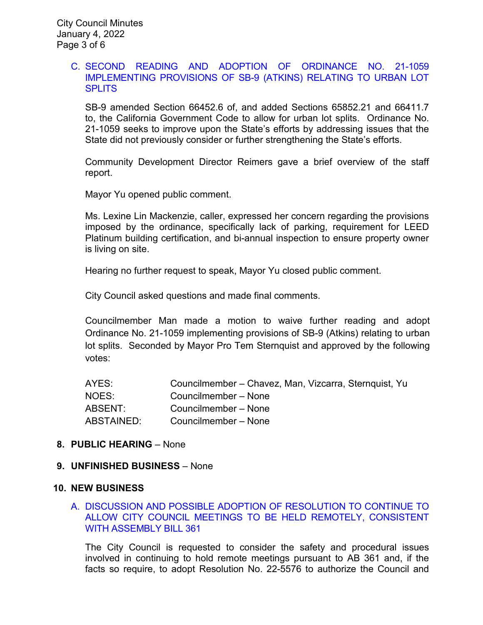#### C. [SECOND READING AND ADOPTION OF ORDINANCE NO. 21-1059](https://www.ci.temple-city.ca.us/DocumentCenter/View/17225/7C_SB9_Staff-Report-for-Ordinance-21-1059_v2-final)  [IMPLEMENTING PROVISIONS OF SB-9 \(ATKINS\) RELATING TO URBAN LOT](https://www.ci.temple-city.ca.us/DocumentCenter/View/17225/7C_SB9_Staff-Report-for-Ordinance-21-1059_v2-final)  **[SPLITS](https://www.ci.temple-city.ca.us/DocumentCenter/View/17225/7C_SB9_Staff-Report-for-Ordinance-21-1059_v2-final)**

SB-9 amended Section 66452.6 of, and added Sections 65852.21 and 66411.7 to, the California Government Code to allow for urban lot splits. Ordinance No. 21-1059 seeks to improve upon the State's efforts by addressing issues that the State did not previously consider or further strengthening the State's efforts.

Community Development Director Reimers gave a brief overview of the staff report.

Mayor Yu opened public comment.

Ms. Lexine Lin Mackenzie, caller, expressed her concern regarding the provisions imposed by the ordinance, specifically lack of parking, requirement for LEED Platinum building certification, and bi-annual inspection to ensure property owner is living on site.

Hearing no further request to speak, Mayor Yu closed public comment.

City Council asked questions and made final comments.

Councilmember Man made a motion to waive further reading and adopt Ordinance No. 21-1059 implementing provisions of SB-9 (Atkins) relating to urban lot splits. Seconded by Mayor Pro Tem Sternquist and approved by the following votes:

| AYES:      | Councilmember - Chavez, Man, Vizcarra, Sternquist, Yu |
|------------|-------------------------------------------------------|
| NOES:      | Councilmember – None                                  |
| ABSENT:    | Councilmember – None                                  |
| ABSTAINED: | Councilmember – None                                  |

#### **8. PUBLIC HEARING** – None

#### **9. UNFINISHED BUSINESS** – None

#### **10. NEW BUSINESS**

#### A. [DISCUSSION AND POSSIBLE ADOPTION OF RESOLUTION TO CONTINUE TO](https://www.ci.temple-city.ca.us/DocumentCenter/View/17228/10A_Remote-Meeting_Staff-Report)  [ALLOW CITY COUNCIL MEETINGS TO BE HELD REMOTELY, CONSISTENT](https://www.ci.temple-city.ca.us/DocumentCenter/View/17228/10A_Remote-Meeting_Staff-Report)  [WITH ASSEMBLY BILL 361](https://www.ci.temple-city.ca.us/DocumentCenter/View/17228/10A_Remote-Meeting_Staff-Report)

The City Council is requested to consider the safety and procedural issues involved in continuing to hold remote meetings pursuant to AB 361 and, if the facts so require, to adopt Resolution No. 22-5576 to authorize the Council and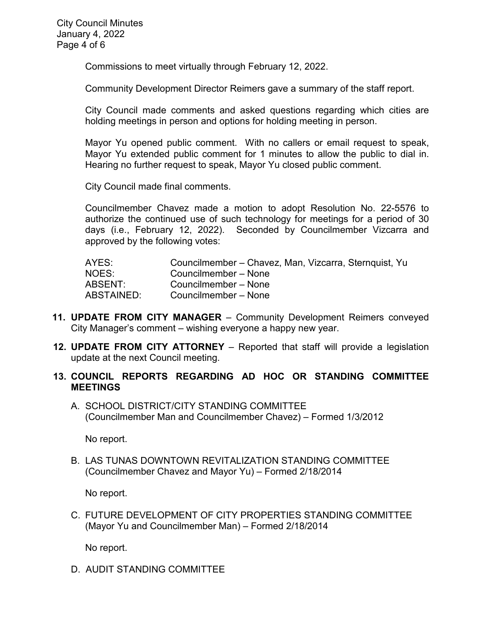Commissions to meet virtually through February 12, 2022.

Community Development Director Reimers gave a summary of the staff report.

City Council made comments and asked questions regarding which cities are holding meetings in person and options for holding meeting in person.

Mayor Yu opened public comment. With no callers or email request to speak, Mayor Yu extended public comment for 1 minutes to allow the public to dial in. Hearing no further request to speak, Mayor Yu closed public comment.

City Council made final comments.

Councilmember Chavez made a motion to adopt Resolution No. 22-5576 to authorize the continued use of such technology for meetings for a period of 30 days (i.e., February 12, 2022). Seconded by Councilmember Vizcarra and approved by the following votes:

| AYES:      | Councilmember – Chavez, Man, Vizcarra, Sternquist, Yu |
|------------|-------------------------------------------------------|
| NOES:      | Councilmember - None                                  |
| ABSENT:    | Councilmember - None                                  |
| ABSTAINED: | Councilmember – None                                  |

- **11. UPDATE FROM CITY MANAGER** Community Development Reimers conveyed City Manager's comment – wishing everyone a happy new year.
- **12. UPDATE FROM CITY ATTORNEY** Reported that staff will provide a legislation update at the next Council meeting.
- **13. COUNCIL REPORTS REGARDING AD HOC OR STANDING COMMITTEE MEETINGS** 
	- A. SCHOOL DISTRICT/CITY STANDING COMMITTEE (Councilmember Man and Councilmember Chavez) – Formed 1/3/2012

No report.

B. LAS TUNAS DOWNTOWN REVITALIZATION STANDING COMMITTEE (Councilmember Chavez and Mayor Yu) – Formed 2/18/2014

No report.

C. FUTURE DEVELOPMENT OF CITY PROPERTIES STANDING COMMITTEE (Mayor Yu and Councilmember Man) – Formed 2/18/2014

No report.

D. AUDIT STANDING COMMITTEE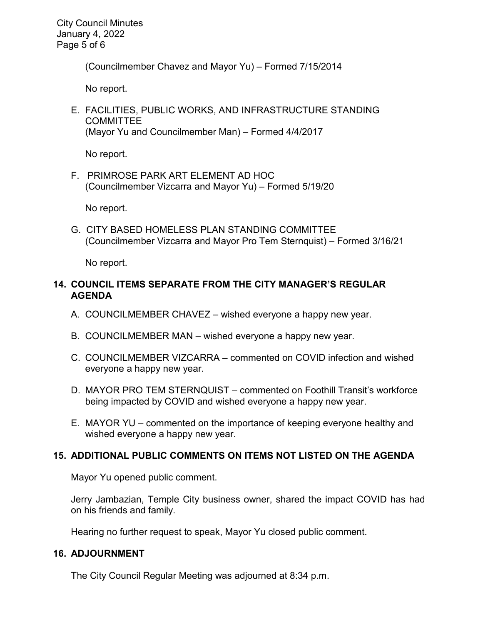City Council Minutes January 4, 2022 Page 5 of 6

(Councilmember Chavez and Mayor Yu) – Formed 7/15/2014

No report.

E. FACILITIES, PUBLIC WORKS, AND INFRASTRUCTURE STANDING **COMMITTEE** (Mayor Yu and Councilmember Man) – Formed 4/4/2017

No report.

F. PRIMROSE PARK ART ELEMENT AD HOC (Councilmember Vizcarra and Mayor Yu) – Formed 5/19/20

No report.

G. CITY BASED HOMELESS PLAN STANDING COMMITTEE (Councilmember Vizcarra and Mayor Pro Tem Sternquist) – Formed 3/16/21

No report.

# **14. COUNCIL ITEMS SEPARATE FROM THE CITY MANAGER'S REGULAR AGENDA**

- A. COUNCILMEMBER CHAVEZ wished everyone a happy new year.
- B. COUNCILMEMBER MAN wished everyone a happy new year.
- C. COUNCILMEMBER VIZCARRA commented on COVID infection and wished everyone a happy new year.
- D. MAYOR PRO TEM STERNQUIST commented on Foothill Transit's workforce being impacted by COVID and wished everyone a happy new year.
- E. MAYOR YU commented on the importance of keeping everyone healthy and wished everyone a happy new year.

# **15. ADDITIONAL PUBLIC COMMENTS ON ITEMS NOT LISTED ON THE AGENDA**

Mayor Yu opened public comment.

Jerry Jambazian, Temple City business owner, shared the impact COVID has had on his friends and family.

Hearing no further request to speak, Mayor Yu closed public comment.

# **16. ADJOURNMENT**

The City Council Regular Meeting was adjourned at 8:34 p.m.